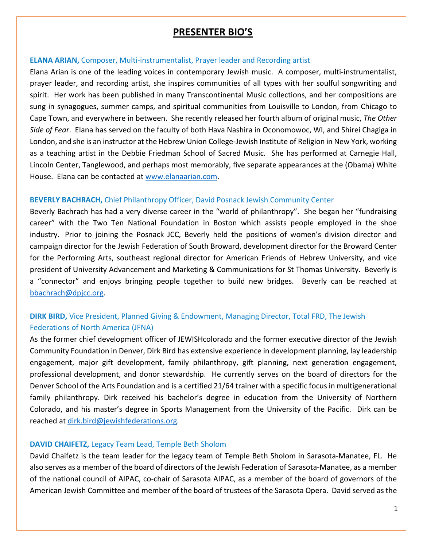# **PRESENTER BIO'S**

### **ELANA ARIAN,** Composer, Multi-instrumentalist, Prayer leader and Recording artist

Elana Arian is one of the leading voices in contemporary Jewish music. A composer, multi-instrumentalist, prayer leader, and recording artist, she inspires communities of all types with her soulful songwriting and spirit. Her work has been published in many Transcontinental Music collections, and her compositions are sung in synagogues, summer camps, and spiritual communities from Louisville to London, from Chicago to Cape Town, and everywhere in between. She recently released her fourth album of original music, *The Other Side of Fear*. Elana has served on the faculty of both Hava Nashira in Oconomowoc, WI, and Shirei Chagiga in London, and she is an instructor at the Hebrew Union College-Jewish Institute of Religion in New York, working as a teaching artist in the Debbie Friedman School of Sacred Music. She has performed at Carnegie Hall, Lincoln Center, Tanglewood, and perhaps most memorably, five separate appearances at the (Obama) White House. Elana can be contacted at [www.elanaarian.com.](http://www.elanaarian.com/)

## **BEVERLY BACHRACH,** Chief Philanthropy Officer, David Posnack Jewish Community Center

Beverly Bachrach has had a very diverse career in the "world of philanthropy". She began her "fundraising career" with the Two Ten National Foundation in Boston which assists people employed in the shoe industry. Prior to joining the Posnack JCC, Beverly held the positions of women's division director and campaign director for the Jewish Federation of South Broward, development director for the Broward Center for the Performing Arts, southeast regional director for American Friends of Hebrew University, and vice president of University Advancement and Marketing & Communications for St Thomas University. Beverly is a "connector" and enjoys bringing people together to build new bridges. Beverly can be reached at [bbachrach@dpjcc.org.](mailto:bbachrach@dpjcc.org)

## **DIRK BIRD,** Vice President, Planned Giving & Endowment, Managing Director, Total FRD, The Jewish Federations of North America (JFNA)

As the former chief development officer of JEWISHcolorado and the former executive director of the Jewish Community Foundation in Denver, Dirk Bird has extensive experience in development planning, lay leadership engagement, major gift development, family philanthropy, gift planning, next generation engagement, professional development, and donor stewardship. He currently serves on the board of directors for the Denver School of the Arts Foundation and is a certified 21/64 trainer with a specific focus in multigenerational family philanthropy. Dirk received his bachelor's degree in education from the University of Northern Colorado, and his master's degree in Sports Management from the University of the Pacific. Dirk can be reached at [dirk.bird@jewishfederations.org.](mailto:dirk.bird@jewishfederations.org)

## **DAVID CHAIFETZ,** Legacy Team Lead, Temple Beth Sholom

David Chaifetz is the team leader for the legacy team of Temple Beth Sholom in Sarasota-Manatee, FL. He also serves as a member of the board of directors of the Jewish Federation of Sarasota-Manatee, as a member of the national council of AIPAC, co-chair of Sarasota AIPAC, as a member of the board of governors of the American Jewish Committee and member of the board of trustees of the Sarasota Opera. David served as the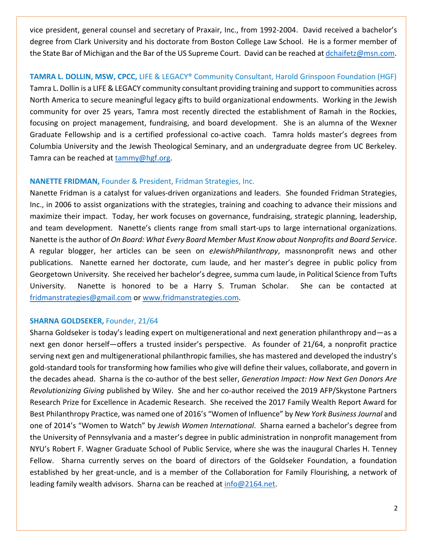vice president, general counsel and secretary of Praxair, Inc., from 1992-2004. David received a bachelor's degree from Clark University and his doctorate from Boston College Law School. He is a former member of the State Bar of Michigan and the Bar of the US Supreme Court. David can be reached a[t dchaifetz@msn.com.](mailto:dchaifetz@msn.com)

## **TAMRA L. DOLLIN, MSW, CPCC,** LIFE & LEGACY® Community Consultant, Harold Grinspoon Foundation (HGF)

Tamra L. Dollin is a LIFE & LEGACY community consultant providing training and support to communities across North America to secure meaningful legacy gifts to build organizational endowments. Working in the Jewish community for over 25 years, Tamra most recently directed the establishment of Ramah in the Rockies, focusing on project management, fundraising, and board development. She is an alumna of the Wexner Graduate Fellowship and is a certified professional co-active coach. Tamra holds master's degrees from Columbia University and the Jewish Theological Seminary, and an undergraduate degree from UC Berkeley. Tamra can be reached at [tammy@hgf.org.](mailto:tammy@hgf.org)

## **NANETTE FRIDMAN,** Founder & President, Fridman Strategies, Inc.

Nanette Fridman is a catalyst for values-driven organizations and leaders. She founded Fridman Strategies, Inc., in 2006 to assist organizations with the strategies, training and coaching to advance their missions and maximize their impact. Today, her work focuses on governance, fundraising, strategic planning, leadership, and team development. Nanette's clients range from small start-ups to large international organizations. Nanette is the author of *On Board: What Every Board Member Must Know about Nonprofits and Board Service*. A regular blogger, her articles can be seen on *eJewishPhilanthropy*, massnonprofit news and other publications. Nanette earned her doctorate, cum laude, and her master's degree in public policy from Georgetown University. She received her bachelor's degree, summa cum laude, in Political Science from Tufts University. Nanette is honored to be a Harry S. Truman Scholar. She can be contacted at [fridmanstrategies@gmail.com](mailto:fridmanstrategies@gmail.com) or [www.fridmanstrategies.com.](http://www.fridmanstrategies.com/)

## **SHARNA GOLDSEKER,** Founder, 21/64

Sharna Goldseker is today's leading expert on multigenerational and next generation philanthropy and—as a next gen donor herself—offers a trusted insider's perspective. As founder of 21/64, a nonprofit practice serving next gen and multigenerational philanthropic families, she has mastered and developed the industry's gold-standard tools for transforming how families who give will define their values, collaborate, and govern in the decades ahead. Sharna is the co-author of the best seller, *Generation Impact: How Next Gen Donors Are Revolutionizing Giving* published by Wiley. She and her co-author received the 2019 AFP/Skystone Partners Research Prize for Excellence in Academic Research. She received the 2017 Family Wealth Report Award for Best Philanthropy Practice, was named one of 2016's "Women of Influence" by *New York Business Journal* and one of 2014's "Women to Watch" by *Jewish Women International*. Sharna earned a bachelor's degree from the University of Pennsylvania and a master's degree in public administration in nonprofit management from NYU's Robert F. Wagner Graduate School of Public Service, where she was the inaugural Charles H. Tenney Fellow. Sharna currently serves on the board of directors of the Goldseker Foundation, a foundation established by her great-uncle, and is a member of the Collaboration for Family Flourishing, a network of leading family wealth advisors. Sharna can be reached at [info@2164.net.](mailto:info@2164.net)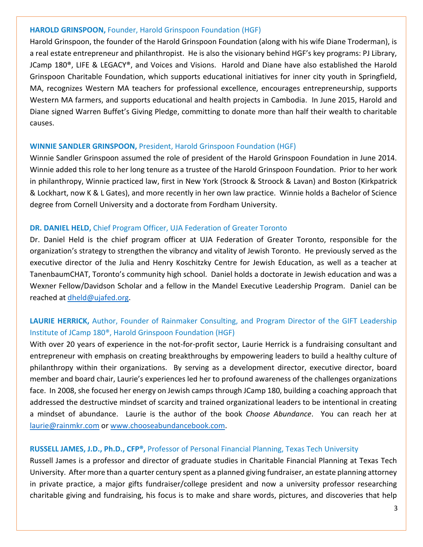## **HAROLD GRINSPOON,** Founder, Harold Grinspoon Foundation (HGF)

Harold Grinspoon, the founder of the Harold Grinspoon Foundation (along with his wife Diane Troderman), is a real estate entrepreneur and philanthropist. He is also the visionary behind HGF's key programs: PJ Library, JCamp 180®, LIFE & LEGACY®, and Voices and Visions. Harold and Diane have also established the Harold Grinspoon Charitable Foundation, which supports educational initiatives for inner city youth in Springfield, MA, recognizes Western MA teachers for professional excellence, encourages entrepreneurship, supports Western MA farmers, and supports educational and health projects in Cambodia. In June 2015, Harold and Diane signed Warren Buffet's Giving Pledge, committing to donate more than half their wealth to charitable causes.

## **WINNIE SANDLER GRINSPOON,** President, Harold Grinspoon Foundation (HGF)

Winnie Sandler Grinspoon assumed the role of president of the Harold Grinspoon Foundation in June 2014. Winnie added this role to her long tenure as a trustee of the Harold Grinspoon Foundation. Prior to her work in philanthropy, Winnie practiced law, first in New York (Stroock & Stroock & Lavan) and Boston (Kirkpatrick & Lockhart, now K & L Gates), and more recently in her own law practice. Winnie holds a Bachelor of Science degree from Cornell University and a doctorate from Fordham University.

## **DR. DANIEL HELD,** Chief Program Officer, UJA Federation of Greater Toronto

Dr. Daniel Held is the chief program officer at UJA Federation of Greater Toronto, responsible for the organization's strategy to strengthen the vibrancy and vitality of Jewish Toronto. He previously served as the executive director of the Julia and Henry Koschitzky Centre for Jewish Education, as well as a teacher at TanenbaumCHAT, Toronto's community high school. Daniel holds a doctorate in Jewish education and was a Wexner Fellow/Davidson Scholar and a fellow in the Mandel Executive Leadership Program. Daniel can be reached at [dheld@ujafed.org.](mailto:dheld@ujafed.org)

## **LAURIE HERRICK,** Author, Founder of Rainmaker Consulting, and Program Director of the GIFT Leadership Institute of JCamp 180®, Harold Grinspoon Foundation (HGF)

With over 20 years of experience in the not-for-profit sector, Laurie Herrick is a fundraising consultant and entrepreneur with emphasis on creating breakthroughs by empowering leaders to build a healthy culture of philanthropy within their organizations. By serving as a development director, executive director, board member and board chair, Laurie's experiences led her to profound awareness of the challenges organizations face. In 2008, she focused her energy on Jewish camps through JCamp 180, building a coaching approach that addressed the destructive mindset of scarcity and trained organizational leaders to be intentional in creating a mindset of abundance. Laurie is the author of the book *Choose Abundance*. You can reach her at [laurie@rainmkr.com](mailto:laurie@rainmkr.com) or [www.chooseabundancebook.com.](http://www.chooseabundancebook.com/)

### **RUSSELL JAMES, J.D., Ph.D., CFP®,** Professor of Personal Financial Planning, Texas Tech University

Russell James is a professor and director of graduate studies in Charitable Financial Planning at Texas Tech University. After more than a quarter century spent as a planned giving fundraiser, an estate planning attorney in private practice, a major gifts fundraiser/college president and now a university professor researching charitable giving and fundraising, his focus is to make and share words, pictures, and discoveries that help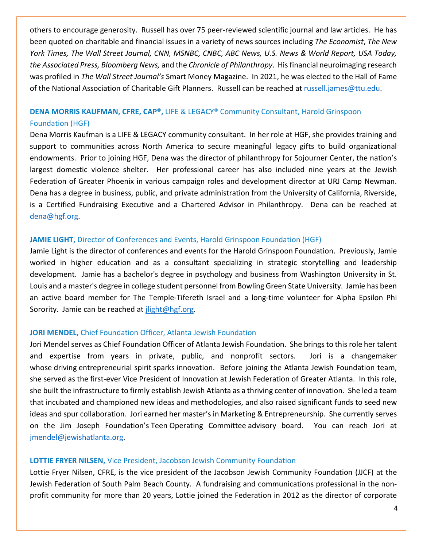others to encourage generosity. Russell has over 75 peer-reviewed scientific journal and law articles. He has been quoted on charitable and financial issues in a variety of news sources including *The Economist*, *The New York Times, The Wall Street Journal, CNN, MSNBC, CNBC, ABC News, U.S. News & World Report, USA Today, the Associated Press, Bloomberg News,* and the *Chronicle of Philanthropy*. His financial neuroimaging research was profiled in *The Wall Street Journal's* Smart Money Magazine. In 2021, he was elected to the Hall of Fame of the National Association of Charitable Gift Planners. Russell can be reached at [russell.james@ttu.edu.](mailto:russell.james@ttu.edu)

## **DENA MORRIS KAUFMAN, CFRE, CAP®,** LIFE & LEGACY® Community Consultant, Harold Grinspoon Foundation (HGF)

Dena Morris Kaufman is a LIFE & LEGACY community consultant. In her role at HGF, she provides training and support to communities across North America to secure meaningful legacy gifts to build organizational endowments. Prior to joining HGF, Dena was the director of philanthropy for Sojourner Center, the nation's largest domestic violence shelter. Her professional career has also included nine years at the Jewish Federation of Greater Phoenix in various campaign roles and development director at URJ Camp Newman. Dena has a degree in business, public, and private administration from the University of California, Riverside, is a Certified Fundraising Executive and a Chartered Advisor in Philanthropy. Dena can be reached at [dena@hgf.org.](mailto:dena@hgf.org)

## **JAMIE LIGHT,** Director of Conferences and Events, Harold Grinspoon Foundation (HGF)

Jamie Light is the director of conferences and events for the Harold Grinspoon Foundation. Previously, Jamie worked in higher education and as a consultant specializing in strategic storytelling and leadership development. Jamie has a bachelor's degree in psychology and business from Washington University in St. Louis and a master's degree in college student personnel from Bowling Green State University. Jamie has been an active board member for The Temple-Tifereth Israel and a long-time volunteer for Alpha Epsilon Phi Sorority. Jamie can be reached at [jlight@hgf.org.](mailto:jlight@hgf.org)

## **JORI MENDEL,** Chief Foundation Officer, Atlanta Jewish Foundation

Jori Mendel serves as Chief Foundation Officer of Atlanta Jewish Foundation. She brings to this role her talent and expertise from years in private, public, and nonprofit sectors. Jori is a changemaker whose driving entrepreneurial spirit sparks innovation. Before joining the Atlanta Jewish Foundation team, she served as the first-ever Vice President of Innovation at Jewish Federation of Greater Atlanta. In this role, she built the infrastructure to firmly establish Jewish Atlanta as a thriving center of innovation. She led a team that incubated and championed new ideas and methodologies, and also raised significant funds to seed new ideas and spur collaboration. Jori earned her master's in Marketing & Entrepreneurship. She currently serves on the Jim Joseph Foundation's Teen Operating Committee advisory board. You can reach Jori at [jmendel@jewishatlanta.org.](mailto:jmendel@jewishatlanta.org)

## **LOTTIE FRYER NILSEN,** Vice President, Jacobson Jewish Community Foundation

Lottie Fryer Nilsen, CFRE, is the vice president of the Jacobson Jewish Community Foundation (JJCF) at the Jewish Federation of South Palm Beach County. A fundraising and communications professional in the nonprofit community for more than 20 years, Lottie joined the Federation in 2012 as the director of corporate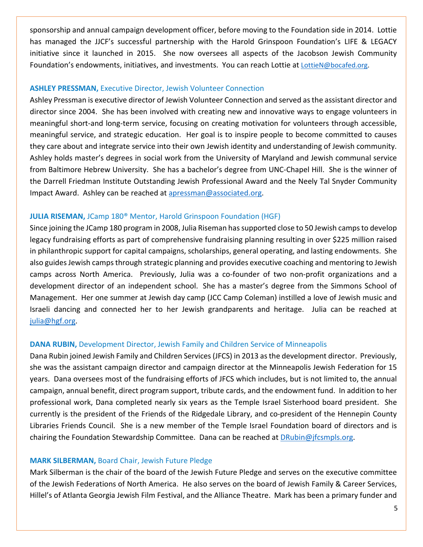sponsorship and annual campaign development officer, before moving to the Foundation side in 2014. Lottie has managed the JJCF's successful partnership with the Harold Grinspoon Foundation's LIFE & LEGACY initiative since it launched in 2015. She now oversees all aspects of the Jacobson Jewish Community Foundation's endowments, initiatives, and investments. You can reach Lottie at [LottieN@bocafed.org.](mailto:LottieN@bocafed.org)

### **ASHLEY PRESSMAN,** Executive Director, Jewish Volunteer Connection

Ashley Pressman is executive director of Jewish Volunteer Connection and served as the assistant director and director since 2004. She has been involved with creating new and innovative ways to engage volunteers in meaningful short-and long-term service, focusing on creating motivation for volunteers through accessible, meaningful service, and strategic education. Her goal is to inspire people to become committed to causes they care about and integrate service into their own Jewish identity and understanding of Jewish community. Ashley holds master's degrees in social work from the University of Maryland and Jewish communal service from Baltimore Hebrew University. She has a bachelor's degree from UNC-Chapel Hill. She is the winner of the Darrell Friedman Institute Outstanding Jewish Professional Award and the Neely Tal Snyder Community Impact Award. Ashley can be reached at [apressman@associated.org.](mailto:apressman@associated.org)

## **JULIA RISEMAN,** JCamp 180® Mentor, Harold Grinspoon Foundation (HGF)

Since joining the JCamp 180 program in 2008, Julia Riseman has supported close to 50 Jewish camps to develop legacy fundraising efforts as part of comprehensive fundraising planning resulting in over \$225 million raised in philanthropic support for capital campaigns, scholarships, general operating, and lasting endowments. She also guides Jewish camps through strategic planning and provides executive coaching and mentoring to Jewish camps across North America. Previously, Julia was a co-founder of two non-profit organizations and a development director of an independent school. She has a master's degree from the Simmons School of Management. Her one summer at Jewish day camp (JCC Camp Coleman) instilled a love of Jewish music and Israeli dancing and connected her to her Jewish grandparents and heritage. Julia can be reached at [julia@hgf.org.](mailto:julia@hgf.org)

### **DANA RUBIN,** Development Director, Jewish Family and Children Service of Minneapolis

Dana Rubin joined Jewish Family and Children Services(JFCS) in 2013 as the development director. Previously, she was the assistant campaign director and campaign director at the Minneapolis Jewish Federation for 15 years. Dana oversees most of the fundraising efforts of JFCS which includes, but is not limited to, the annual campaign, annual benefit, direct program support, tribute cards, and the endowment fund. In addition to her professional work, Dana completed nearly six years as the Temple Israel Sisterhood board president. She currently is the president of the Friends of the Ridgedale Library, and co-president of the Hennepin County Libraries Friends Council. She is a new member of the Temple Israel Foundation board of directors and is chairing the Foundation Stewardship Committee. Dana can be reached at [DRubin@jfcsmpls.org.](mailto:DRubin@jfcsmpls.org)

### **MARK SILBERMAN,** Board Chair, Jewish Future Pledge

Mark Silberman is the chair of the board of the Jewish Future Pledge and serves on the executive committee of the Jewish Federations of North America. He also serves on the board of Jewish Family & Career Services, Hillel's of Atlanta Georgia Jewish Film Festival, and the Alliance Theatre. Mark has been a primary funder and